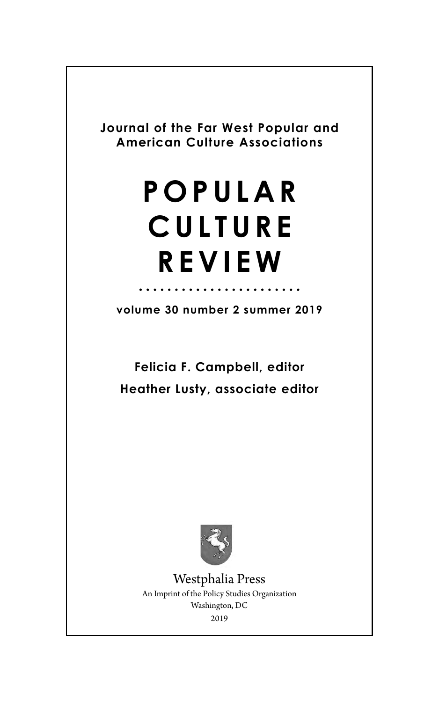**Journal of the Far West Popular and American Culture Associations**

# **POPULAR CULTURE REVIEW**

**volume 30 number 2 summer 2019**

**Felicia F. Campbell, editor Heather Lusty, associate editor**



Westphalia Press An Imprint of the Policy Studies Organization Washington, DC 2019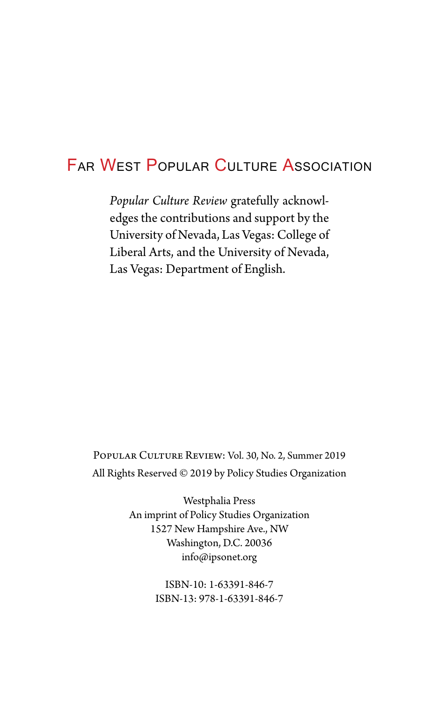## Far West Popular Culture Association

*Popular Culture Review* gratefully acknowledges the contributions and support by the University of Nevada, Las Vegas: College of Liberal Arts, and the University of Nevada, Las Vegas: Department of English.

Popular Culture Review: Vol. 30, No. 2, Summer 2019 All Rights Reserved © 2019 by Policy Studies Organization

> Westphalia Press An imprint of Policy Studies Organization 1527 New Hampshire Ave., NW Washington, D.C. 20036 info@ipsonet.org

> > ISBN-10: 1-63391-846-7 ISBN-13: 978-1-63391-846-7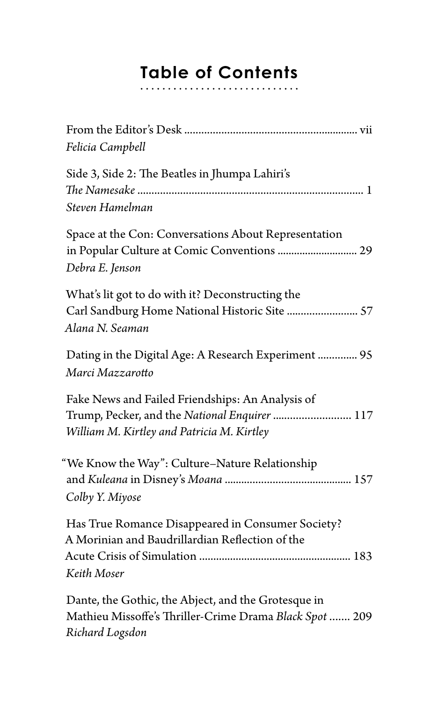## **Table of Contents**

| Felicia Campbell                                                                                                                                |
|-------------------------------------------------------------------------------------------------------------------------------------------------|
| Side 3, Side 2: The Beatles in Jhumpa Lahiri's<br>Steven Hamelman                                                                               |
| Space at the Con: Conversations About Representation<br>in Popular Culture at Comic Conventions  29<br>Debra E. Jenson                          |
| What's lit got to do with it? Deconstructing the<br>Carl Sandburg Home National Historic Site  57<br>Alana N. Seaman                            |
| Dating in the Digital Age: A Research Experiment  95<br>Marci Mazzarotto                                                                        |
| Fake News and Failed Friendships: An Analysis of<br>Trump, Pecker, and the National Enquirer  117<br>William M. Kirtley and Patricia M. Kirtley |
| "We Know the Way": Culture-Nature Relationship<br>Colby Y. Miyose                                                                               |
| Has True Romance Disappeared in Consumer Society?<br>A Morinian and Baudrillardian Reflection of the<br>Keith Moser                             |
| Dante, the Gothic, the Abject, and the Grotesque in<br>Mathieu Missoffe's Thriller-Crime Drama Black Spot  209<br>Richard Logsdon               |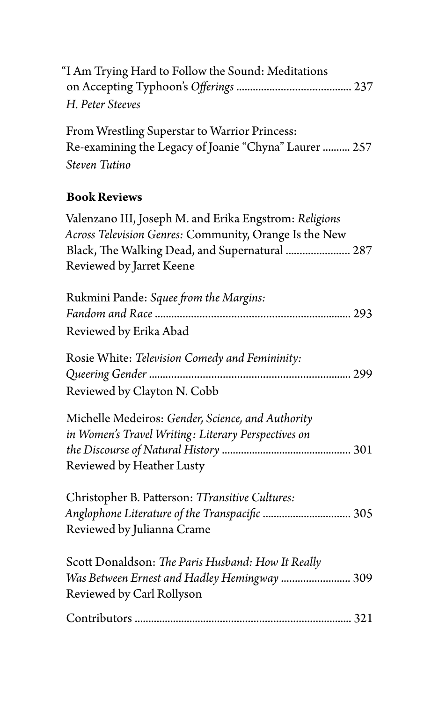| "I Am Trying Hard to Follow the Sound: Meditations<br>H. Peter Steeves                                                                                                                         |
|------------------------------------------------------------------------------------------------------------------------------------------------------------------------------------------------|
| From Wrestling Superstar to Warrior Princess:<br>Re-examining the Legacy of Joanie "Chyna" Laurer  257<br>Steven Tutino                                                                        |
| <b>Book Reviews</b>                                                                                                                                                                            |
| Valenzano III, Joseph M. and Erika Engstrom: Religions<br>Across Television Genres: Community, Orange Is the New<br>Black, The Walking Dead, and Supernatural  287<br>Reviewed by Jarret Keene |
| Rukmini Pande: Squee from the Margins:<br>Reviewed by Erika Abad                                                                                                                               |
| Rosie White: Television Comedy and Femininity:<br>Reviewed by Clayton N. Cobb                                                                                                                  |
| Michelle Medeiros: Gender, Science, and Authority<br>in Women's Travel Writing: Literary Perspectives on<br>Reviewed by Heather Lusty                                                          |
| Christopher B. Patterson: TTransitive Cultures:<br>Anglophone Literature of the Transpacific  305<br>Reviewed by Julianna Crame                                                                |
| Scott Donaldson: The Paris Husband: How It Really<br>Was Between Ernest and Hadley Hemingway  309<br>Reviewed by Carl Rollyson                                                                 |
|                                                                                                                                                                                                |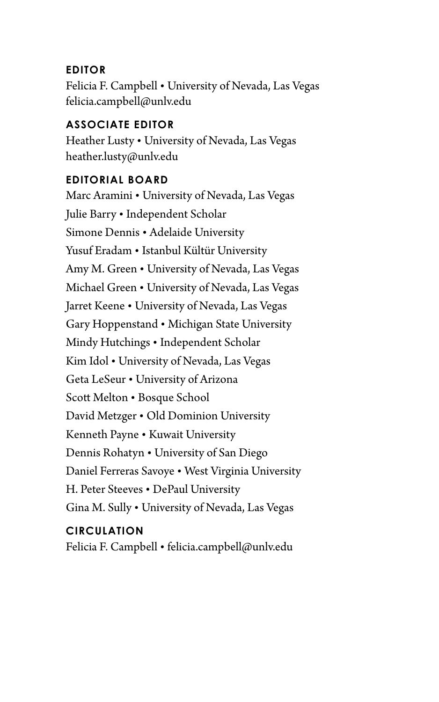#### **EDITOR**

Felicia F. Campbell • University of Nevada, Las Vegas [felicia.campbell@unlv.edu](mailto:felicia.campbell@unlv.edu)

#### **ASSOCIATE EDITOR**

Heather Lusty • University of Nevada, Las Vegas [heather.lusty@unlv.edu](mailto:heather.lusty@unlv.edu)

#### **EDITORIAL BOARD**

Marc Aramini • University of Nevada, Las Vegas Julie Barry • Independent Scholar Simone Dennis • Adelaide University Yusuf Eradam • Istanbul Kültür University Amy M. Green • University of Nevada, Las Vegas Michael Green • University of Nevada, Las Vegas Jarret Keene • University of Nevada, Las Vegas Gary Hoppenstand • Michigan State University Mindy Hutchings • Independent Scholar Kim Idol • University of Nevada, Las Vegas Geta LeSeur • University of Arizona Scott Melton • Bosque School David Metzger • Old Dominion University Kenneth Payne • Kuwait University Dennis Rohatyn • University of San Diego Daniel Ferreras Savoye • West Virginia University H. Peter Steeves • DePaul University Gina M. Sully • University of Nevada, Las Vegas

#### **CIRCULATION**

Felicia F. Campbell • [felicia.campbell@unlv.edu](mailto:felicia.campbell@unlv.edu)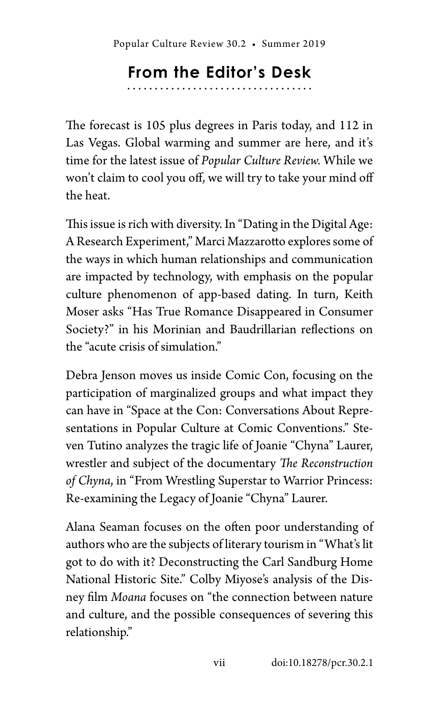## **From the Editor's Desk**

The forecast is 105 plus degrees in Paris today, and 112 in Las Vegas. Global warming and summer are here, and it's time for the latest issue of *Popular Culture Review.* While we won't claim to cool you off, we will try to take your mind off the heat.

This issue is rich with diversity. In "Dating in the Digital Age: A Research Experiment," Marci Mazzarotto explores some of the ways in which human relationships and communication are impacted by technology, with emphasis on the popular culture phenomenon of app-based dating. In turn, Keith Moser asks "Has True Romance Disappeared in Consumer Society?" in his Morinian and Baudrillarian reflections on the "acute crisis of simulation."

Debra Jenson moves us inside Comic Con, focusing on the participation of marginalized groups and what impact they can have in "Space at the Con: Conversations About Representations in Popular Culture at Comic Conventions." Steven Tutino analyzes the tragic life of Joanie "Chyna" Laurer, wrestler and subject of the documentary *The Reconstruction of Chyna*, in "From Wrestling Superstar to Warrior Princess: Re-examining the Legacy of Joanie "Chyna" Laurer.

Alana Seaman focuses on the often poor understanding of authors who are the subjects of literary tourism in "What's lit got to do with it? Deconstructing the Carl Sandburg Home National Historic Site." Colby Miyose's analysis of the Disney film *Moana* focuses on "the connection between nature and culture, and the possible consequences of severing this relationship."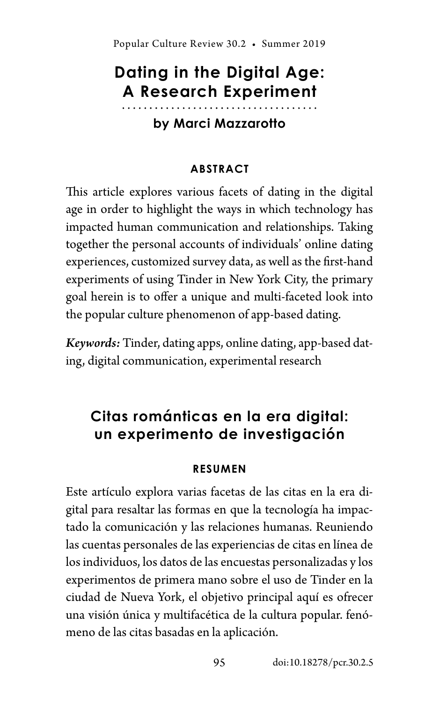## **Dating in the Digital Age: A Research Experiment**

#### **by Marci Mazzarotto**

#### **ABSTRACT**

This article explores various facets of dating in the digital age in order to highlight the ways in which technology has impacted human communication and relationships. Taking together the personal accounts of individuals' online dating experiences, customized survey data, as well as the first-hand experiments of using Tinder in New York City, the primary goal herein is to offer a unique and multi-faceted look into the popular culture phenomenon of app-based dating.

*Keywords:* Tinder, dating apps, online dating, app-based dating, digital communication, experimental research

### **Citas románticas en la era digital: un experimento de investigación**

#### **RESUMEN**

Este artículo explora varias facetas de las citas en la era digital para resaltar las formas en que la tecnología ha impactado la comunicación y las relaciones humanas. Reuniendo las cuentas personales de las experiencias de citas en línea de los individuos, los datos de las encuestas personalizadas y los experimentos de primera mano sobre el uso de Tinder en la ciudad de Nueva York, el objetivo principal aquí es ofrecer una visión única y multifacética de la cultura popular. fenómeno de las citas basadas en la aplicación.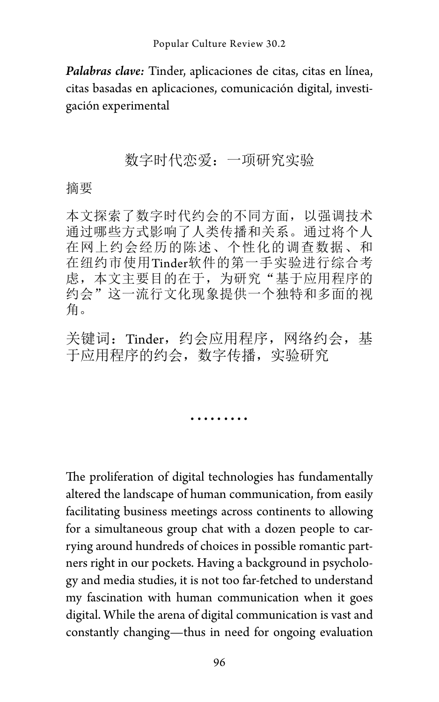*Palabras clave:* Tinder, aplicaciones de citas, citas en línea, citas basadas en aplicaciones, comunicación digital, investigación experimental

#### 数字时代恋爱:一项研究实验

#### 摘要

本文探索了数字时代约会的不同方面,以强调技术 通过哪些方式影响了人类传播和关系。通过将个人 在网上约会经历的陈述、个性化的调查数据、和 在纽约市使用Tinder软件的第一手实验进行综合考 虑,本文主要目的在于,为研究"基于应用程序的 约会"这一流行文化现象提供一个独特和多面的视 角。

关键词: Tinder, 约会应用程序, 网络约会, 基 于应用程序的约会,数字传播,实验研究

.........

The proliferation of digital technologies has fundamentally altered the landscape of human communication, from easily facilitating business meetings across continents to allowing for a simultaneous group chat with a dozen people to carrying around hundreds of choices in possible romantic partners right in our pockets. Having a background in psychology and media studies, it is not too far-fetched to understand my fascination with human communication when it goes digital. While the arena of digital communication is vast and constantly changing—thus in need for ongoing evaluation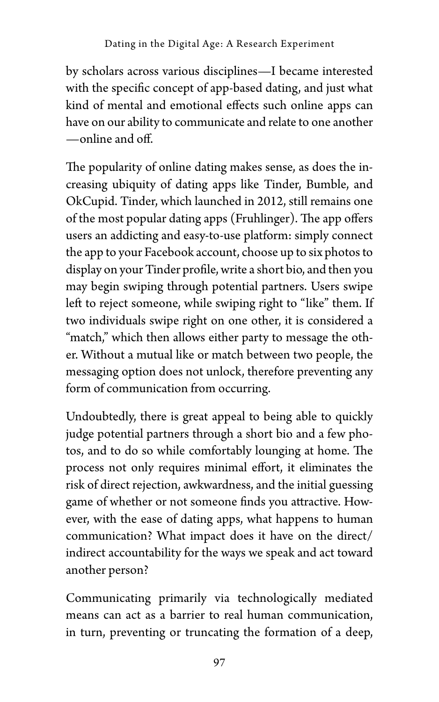by scholars across various disciplines—I became interested with the specific concept of app-based dating, and just what kind of mental and emotional effects such online apps can have on our ability to communicate and relate to one another —online and off.

The popularity of online dating makes sense, as does the increasing ubiquity of dating apps like Tinder, Bumble, and OkCupid. Tinder, which launched in 2012, still remains one of the most popular dating apps (Fruhlinger). The app offers users an addicting and easy-to-use platform: simply connect the app to your Facebook account, choose up to six photos to display on your Tinder profile, write a short bio, and then you may begin swiping through potential partners. Users swipe left to reject someone, while swiping right to "like" them. If two individuals swipe right on one other, it is considered a "match," which then allows either party to message the other. Without a mutual like or match between two people, the messaging option does not unlock, therefore preventing any form of communication from occurring.

Undoubtedly, there is great appeal to being able to quickly judge potential partners through a short bio and a few photos, and to do so while comfortably lounging at home. The process not only requires minimal effort, it eliminates the risk of direct rejection, awkwardness, and the initial guessing game of whether or not someone finds you attractive. However, with the ease of dating apps, what happens to human communication? What impact does it have on the direct/ indirect accountability for the ways we speak and act toward another person?

Communicating primarily via technologically mediated means can act as a barrier to real human communication, in turn, preventing or truncating the formation of a deep,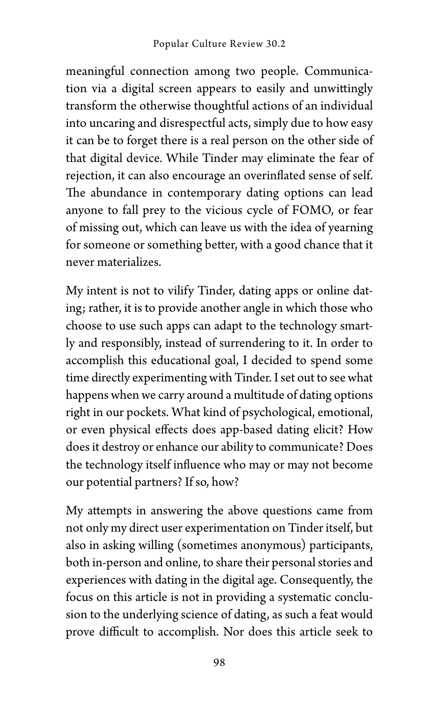meaningful connection among two people. Communication via a digital screen appears to easily and unwittingly transform the otherwise thoughtful actions of an individual into uncaring and disrespectful acts, simply due to how easy it can be to forget there is a real person on the other side of that digital device. While Tinder may eliminate the fear of rejection, it can also encourage an overinflated sense of self. The abundance in contemporary dating options can lead anyone to fall prey to the vicious cycle of FOMO, or fear of missing out, which can leave us with the idea of yearning for someone or something better, with a good chance that it never materializes.

My intent is not to vilify Tinder, dating apps or online dating; rather, it is to provide another angle in which those who choose to use such apps can adapt to the technology smartly and responsibly, instead of surrendering to it. In order to accomplish this educational goal, I decided to spend some time directly experimenting with Tinder. I set out to see what happens when we carry around a multitude of dating options right in our pockets. What kind of psychological, emotional, or even physical effects does app-based dating elicit? How does it destroy or enhance our ability to communicate? Does the technology itself influence who may or may not become our potential partners? If so, how?

My attempts in answering the above questions came from not only my direct user experimentation on Tinder itself, but also in asking willing (sometimes anonymous) participants, both in-person and online, to share their personal stories and experiences with dating in the digital age. Consequently, the focus on this article is not in providing a systematic conclusion to the underlying science of dating, as such a feat would prove difficult to accomplish. Nor does this article seek to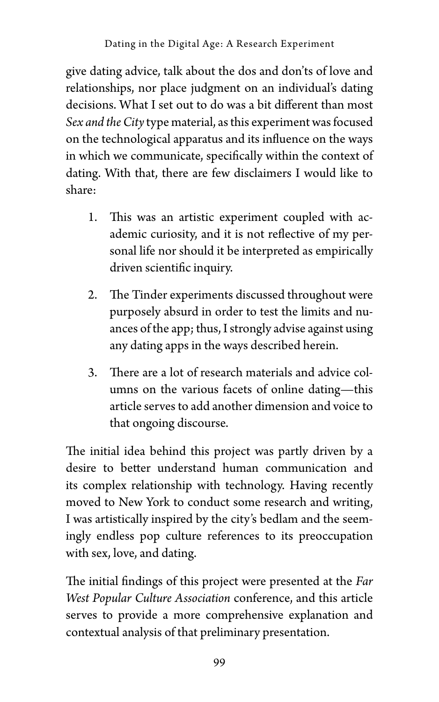give dating advice, talk about the dos and don'ts of love and relationships, nor place judgment on an individual's dating decisions. What I set out to do was a bit different than most *Sex and the City* type material, as this experiment was focused on the technological apparatus and its influence on the ways in which we communicate, specifically within the context of dating. With that, there are few disclaimers I would like to share:

- 1. This was an artistic experiment coupled with academic curiosity, and it is not reflective of my personal life nor should it be interpreted as empirically driven scientific inquiry.
- 2. The Tinder experiments discussed throughout were purposely absurd in order to test the limits and nuances of the app; thus, I strongly advise against using any dating apps in the ways described herein.
- 3. There are a lot of research materials and advice columns on the various facets of online dating—this article serves to add another dimension and voice to that ongoing discourse.

The initial idea behind this project was partly driven by a desire to better understand human communication and its complex relationship with technology. Having recently moved to New York to conduct some research and writing, I was artistically inspired by the city's bedlam and the seemingly endless pop culture references to its preoccupation with sex, love, and dating.

The initial findings of this project were presented at the *Far West Popular Culture Association* conference, and this article serves to provide a more comprehensive explanation and contextual analysis of that preliminary presentation.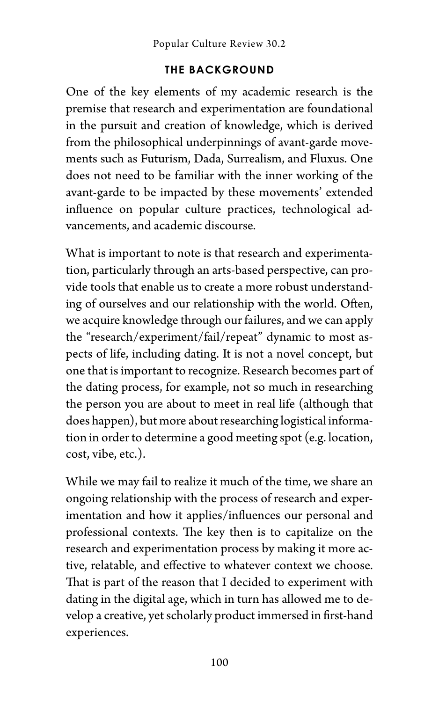#### **THE BACKGROUND**

One of the key elements of my academic research is the premise that research and experimentation are foundational in the pursuit and creation of knowledge, which is derived from the philosophical underpinnings of avant-garde movements such as Futurism, Dada, Surrealism, and Fluxus. One does not need to be familiar with the inner working of the avant-garde to be impacted by these movements' extended influence on popular culture practices, technological advancements, and academic discourse.

What is important to note is that research and experimentation, particularly through an arts-based perspective, can provide tools that enable us to create a more robust understanding of ourselves and our relationship with the world. Often, we acquire knowledge through our failures, and we can apply the "research/experiment/fail/repeat" dynamic to most aspects of life, including dating. It is not a novel concept, but one that is important to recognize. Research becomes part of the dating process, for example, not so much in researching the person you are about to meet in real life (although that does happen), but more about researching logistical information in order to determine a good meeting spot (e.g. location, cost, vibe, etc.).

While we may fail to realize it much of the time, we share an ongoing relationship with the process of research and experimentation and how it applies/influences our personal and professional contexts. The key then is to capitalize on the research and experimentation process by making it more active, relatable, and effective to whatever context we choose. That is part of the reason that I decided to experiment with dating in the digital age, which in turn has allowed me to develop a creative, yet scholarly product immersed in first-hand experiences.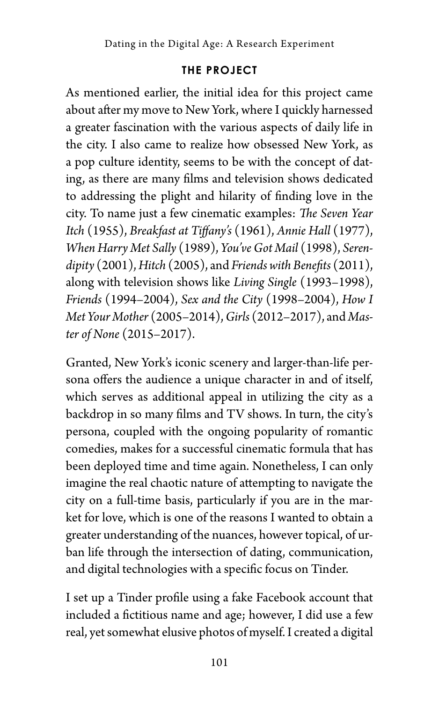#### **THE PROJECT**

As mentioned earlier, the initial idea for this project came about after my move to New York, where I quickly harnessed a greater fascination with the various aspects of daily life in the city. I also came to realize how obsessed New York, as a pop culture identity, seems to be with the concept of dating, as there are many films and television shows dedicated to addressing the plight and hilarity of finding love in the city. To name just a few cinematic examples: *The Seven Year Itch* (1955), *Breakfast at Tiffany's* (1961), *Annie Hall* (1977), *When Harry Met Sally* (1989), *You've Got Mail* (1998), *Serendipity* (2001), *Hitch* (2005), and *Friends with Benefits* (2011), along with television shows like *Living Single* (1993–1998), *Friends* (1994–2004), *Sex and the City* (1998–2004), *How I Met Your Mother* (2005–2014), *Girls* (2012–2017), and *Master of None* (2015–2017).

Granted, New York's iconic scenery and larger-than-life persona offers the audience a unique character in and of itself, which serves as additional appeal in utilizing the city as a backdrop in so many films and TV shows. In turn, the city's persona, coupled with the ongoing popularity of romantic comedies, makes for a successful cinematic formula that has been deployed time and time again. Nonetheless, I can only imagine the real chaotic nature of attempting to navigate the city on a full-time basis, particularly if you are in the market for love, which is one of the reasons I wanted to obtain a greater understanding of the nuances, however topical, of urban life through the intersection of dating, communication, and digital technologies with a specific focus on Tinder.

I set up a Tinder profile using a fake Facebook account that included a fictitious name and age; however, I did use a few real, yet somewhat elusive photos of myself. I created a digital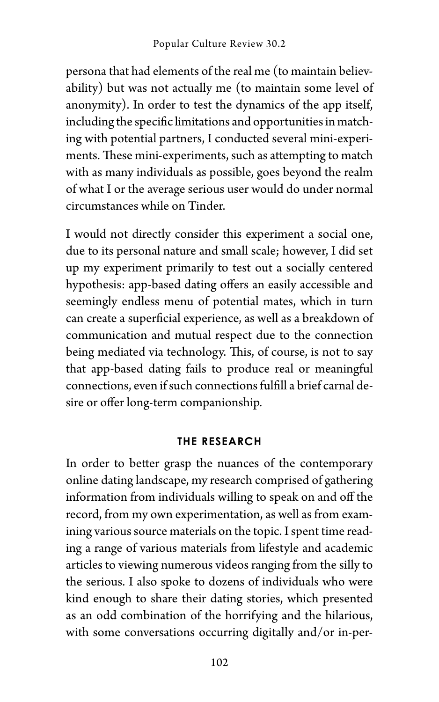persona that had elements of the real me (to maintain believability) but was not actually me (to maintain some level of anonymity). In order to test the dynamics of the app itself, including the specific limitations and opportunities in matching with potential partners, I conducted several mini-experiments. These mini-experiments, such as attempting to match with as many individuals as possible, goes beyond the realm of what I or the average serious user would do under normal circumstances while on Tinder.

I would not directly consider this experiment a social one, due to its personal nature and small scale; however, I did set up my experiment primarily to test out a socially centered hypothesis: app-based dating offers an easily accessible and seemingly endless menu of potential mates, which in turn can create a superficial experience, as well as a breakdown of communication and mutual respect due to the connection being mediated via technology. This, of course, is not to say that app-based dating fails to produce real or meaningful connections, even if such connections fulfill a brief carnal desire or offer long-term companionship.

#### **THE RESEARCH**

In order to better grasp the nuances of the contemporary online dating landscape, my research comprised of gathering information from individuals willing to speak on and off the record, from my own experimentation, as well as from examining various source materials on the topic. I spent time reading a range of various materials from lifestyle and academic articles to viewing numerous videos ranging from the silly to the serious. I also spoke to dozens of individuals who were kind enough to share their dating stories, which presented as an odd combination of the horrifying and the hilarious, with some conversations occurring digitally and/or in-per-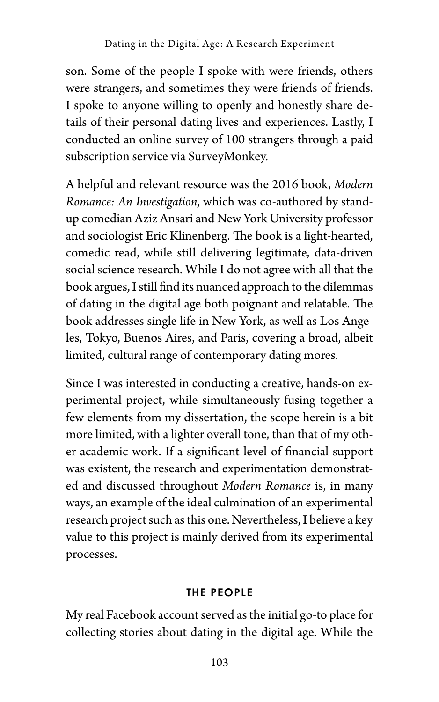son. Some of the people I spoke with were friends, others were strangers, and sometimes they were friends of friends. I spoke to anyone willing to openly and honestly share details of their personal dating lives and experiences. Lastly, I conducted an online survey of 100 strangers through a paid subscription service via SurveyMonkey.

A helpful and relevant resource was the 2016 book, *Modern Romance: An Investigation*, which was co-authored by standup comedian Aziz Ansari and New York University professor and sociologist Eric Klinenberg. The book is a light-hearted, comedic read, while still delivering legitimate, data-driven social science research. While I do not agree with all that the book argues, I still find its nuanced approach to the dilemmas of dating in the digital age both poignant and relatable. The book addresses single life in New York, as well as Los Angeles, Tokyo, Buenos Aires, and Paris, covering a broad, albeit limited, cultural range of contemporary dating mores.

Since I was interested in conducting a creative, hands-on experimental project, while simultaneously fusing together a few elements from my dissertation, the scope herein is a bit more limited, with a lighter overall tone, than that of my other academic work. If a significant level of financial support was existent, the research and experimentation demonstrated and discussed throughout *Modern Romance* is, in many ways, an example of the ideal culmination of an experimental research project such as this one. Nevertheless, I believe a key value to this project is mainly derived from its experimental processes.

#### **THE PEOPLE**

My real Facebook account served as the initial go-to place for collecting stories about dating in the digital age. While the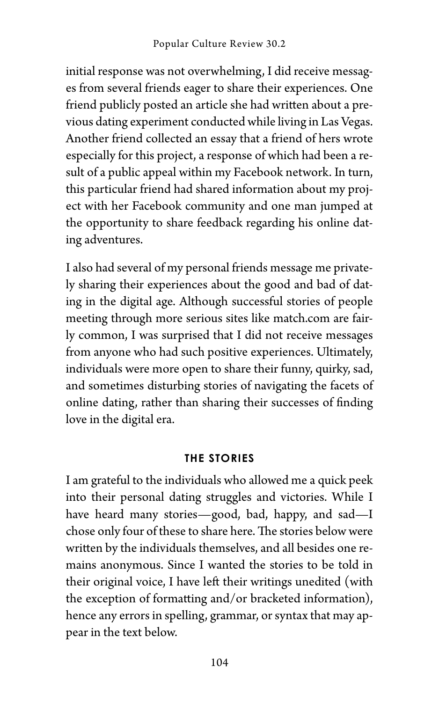initial response was not overwhelming, I did receive messages from several friends eager to share their experiences. One friend publicly posted an article she had written about a previous dating experiment conducted while living in Las Vegas. Another friend collected an essay that a friend of hers wrote especially for this project, a response of which had been a result of a public appeal within my Facebook network. In turn, this particular friend had shared information about my project with her Facebook community and one man jumped at the opportunity to share feedback regarding his online dating adventures.

I also had several of my personal friends message me privately sharing their experiences about the good and bad of dating in the digital age. Although successful stories of people meeting through more serious sites like match.com are fairly common, I was surprised that I did not receive messages from anyone who had such positive experiences. Ultimately, individuals were more open to share their funny, quirky, sad, and sometimes disturbing stories of navigating the facets of online dating, rather than sharing their successes of finding love in the digital era.

#### **THE STORIES**

I am grateful to the individuals who allowed me a quick peek into their personal dating struggles and victories. While I have heard many stories—good, bad, happy, and sad—I chose only four of these to share here. The stories below were written by the individuals themselves, and all besides one remains anonymous. Since I wanted the stories to be told in their original voice, I have left their writings unedited (with the exception of formatting and/or bracketed information), hence any errors in spelling, grammar, or syntax that may appear in the text below.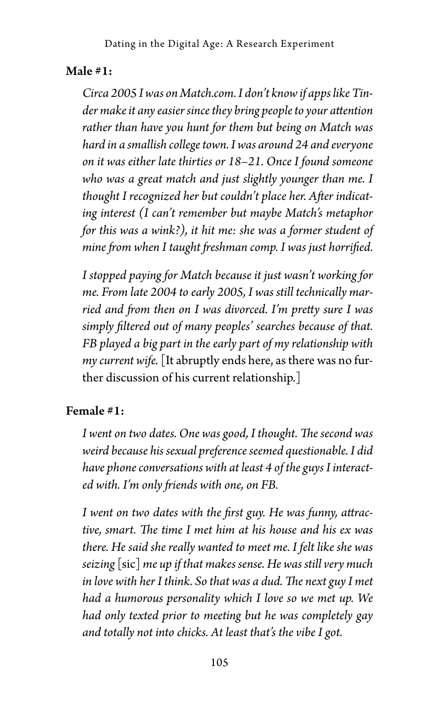#### Male #1:

*Circa 2005 I was on Match.com. I don't know if apps like Tinder make it any easier since they bring people to your attention rather than have you hunt for them but being on Match was hard in a smallish college town. I was around 24 and everyone on it was either late thirties or 18–21. Once I found someone who was a great match and just slightly younger than me. I thought I recognized her but couldn't place her. After indicating interest (I can't remember but maybe Match's metaphor for this was a wink?), it hit me: she was a former student of mine from when I taught freshman comp. I was just horrified.*

*I stopped paying for Match because it just wasn't working for me. From late 2004 to early 2005, I was still technically married and from then on I was divorced. I'm pretty sure I was simply filtered out of many peoples' searches because of that. FB played a big part in the early part of my relationship with my current wife.* [It abruptly ends here, as there was no further discussion of his current relationship.]

#### Female #1:

*I went on two dates. One was good, I thought. The second was weird because his sexual preference seemed questionable. I did have phone conversations with at least 4 of the guys I interacted with. I'm only friends with one, on FB.*

*I went on two dates with the first guy. He was funny, attractive, smart. The time I met him at his house and his ex was there. He said she really wanted to meet me. I felt like she was seizing* [sic] *me up if that makes sense. He was still very much in love with her I think. So that was a dud. The next guy I met had a humorous personality which I love so we met up. We had only texted prior to meeting but he was completely gay and totally not into chicks. At least that's the vibe I got.*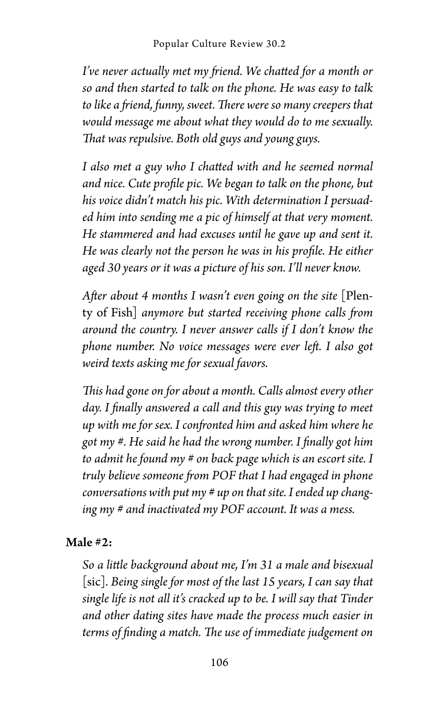*I've never actually met my friend. We chatted for a month or so and then started to talk on the phone. He was easy to talk to like a friend, funny, sweet. There were so many creepers that would message me about what they would do to me sexually. That was repulsive. Both old guys and young guys.* 

*I also met a guy who I chatted with and he seemed normal and nice. Cute profile pic. We began to talk on the phone, but his voice didn't match his pic. With determination I persuaded him into sending me a pic of himself at that very moment. He stammered and had excuses until he gave up and sent it. He was clearly not the person he was in his profile. He either aged 30 years or it was a picture of his son. I'll never know.*

*After about 4 months I wasn't even going on the site* [Plenty of Fish] *anymore but started receiving phone calls from around the country. I never answer calls if I don't know the phone number. No voice messages were ever left. I also got weird texts asking me for sexual favors.* 

*This had gone on for about a month. Calls almost every other day. I finally answered a call and this guy was trying to meet up with me for sex. I confronted him and asked him where he got my #. He said he had the wrong number. I finally got him to admit he found my # on back page which is an escort site. I truly believe someone from POF that I had engaged in phone conversations with put my # up on that site. I ended up changing my # and inactivated my POF account. It was a mess.*

#### Male #2:

*So a little background about me, I'm 31 a male and bisexual* [sic]*. Being single for most of the last 15 years, I can say that single life is not all it's cracked up to be. I will say that Tinder and other dating sites have made the process much easier in terms of finding a match. The use of immediate judgement on*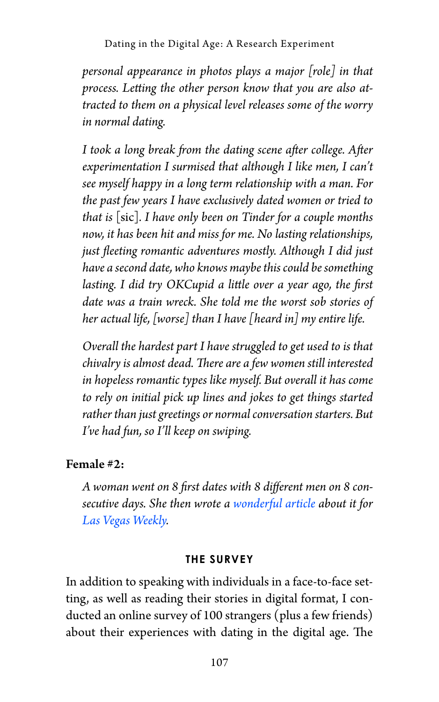Dating in the Digital Age: A Research Experiment

*personal appearance in photos plays a major [role] in that process. Letting the other person know that you are also attracted to them on a physical level releases some of the worry in normal dating.*

*I took a long break from the dating scene after college. After experimentation I surmised that although I like men, I can't see myself happy in a long term relationship with a man. For the past few years I have exclusively dated women or tried to that is* [sic]*. I have only been on Tinder for a couple months now, it has been hit and miss for me. No lasting relationships, just fleeting romantic adventures mostly. Although I did just have a second date, who knows maybe this could be something lasting. I did try OKCupid a little over a year ago, the first date was a train wreck. She told me the worst sob stories of her actual life, [worse] than I have [heard in] my entire life.*

*Overall the hardest part I have struggled to get used to is that chivalry is almost dead. There are a few women still interested in hopeless romantic types like myself. But overall it has come to rely on initial pick up lines and jokes to get things started rather than just greetings or normal conversation starters. But I've had fun, so I'll keep on swiping.*

#### Female #2:

*A woman went on 8 first dates with 8 different men on 8 consecutive days. She then wrote a [wonderful article](https://href.li/?http://lasvegasweekly.com/news/2011/feb/10/8-dates-8-days/) about it for [Las Vegas Weekly](https://lasvegasweekly.com/news/2011/feb/10/8-dates-8-days/).* 

#### **THE SURVEY**

In addition to speaking with individuals in a face-to-face setting, as well as reading their stories in digital format, I conducted an online survey of 100 strangers (plus a few friends) about their experiences with dating in the digital age. The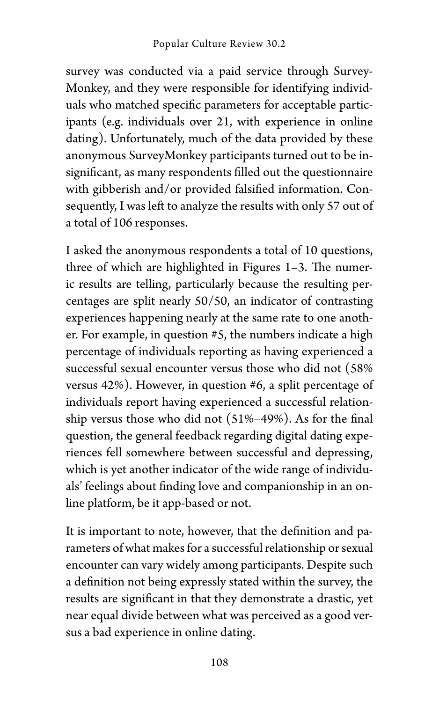survey was conducted via a paid service through Survey-Monkey, and they were responsible for identifying individuals who matched specific parameters for acceptable participants (e.g. individuals over 21, with experience in online dating). Unfortunately, much of the data provided by these anonymous SurveyMonkey participants turned out to be insignificant, as many respondents filled out the questionnaire with gibberish and/or provided falsified information. Consequently, I was left to analyze the results with only 57 out of a total of 106 responses.

I asked the anonymous respondents a total of 10 questions, three of which are highlighted in Figures 1–3. The numeric results are telling, particularly because the resulting percentages are split nearly 50/50, an indicator of contrasting experiences happening nearly at the same rate to one another. For example, in question #5, the numbers indicate a high percentage of individuals reporting as having experienced a successful sexual encounter versus those who did not (58% versus 42%). However, in question #6, a split percentage of individuals report having experienced a successful relationship versus those who did not (51%–49%). As for the final question, the general feedback regarding digital dating experiences fell somewhere between successful and depressing, which is yet another indicator of the wide range of individuals' feelings about finding love and companionship in an online platform, be it app-based or not.

It is important to note, however, that the definition and parameters of what makes for a successful relationship or sexual encounter can vary widely among participants. Despite such a definition not being expressly stated within the survey, the results are significant in that they demonstrate a drastic, yet near equal divide between what was perceived as a good versus a bad experience in online dating.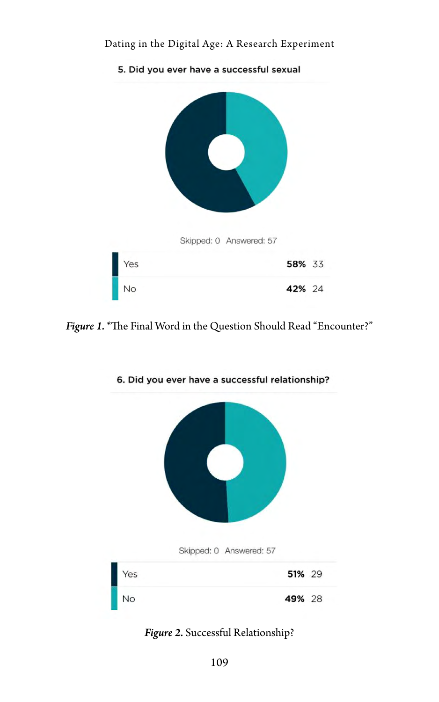#### Dating in the Digital Age: A Research Experiment



*Figure 1.* \*The Final Word in the Question Should Read "Encounter?"





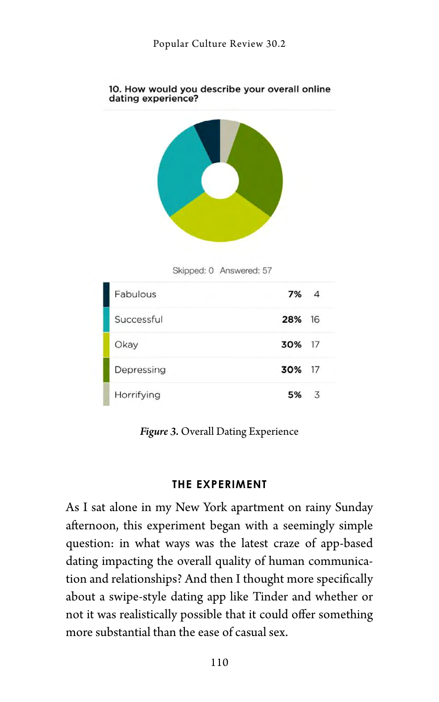

#### 10. How would you describe your overall online dating experience?



| Fabulous   | $7\%$ 4 |   |
|------------|---------|---|
| Successful | 28% 16  |   |
| Okay       | 30% 17  |   |
| Depressing | 30% 17  |   |
| Horrifying | 5%      | 3 |

*Figure 3.* Overall Dating Experience

#### **THE EXPERIMENT**

As I sat alone in my New York apartment on rainy Sunday afternoon, this experiment began with a seemingly simple question: in what ways was the latest craze of app-based dating impacting the overall quality of human communication and relationships? And then I thought more specifically about a swipe-style dating app like Tinder and whether or not it was realistically possible that it could offer something more substantial than the ease of casual sex.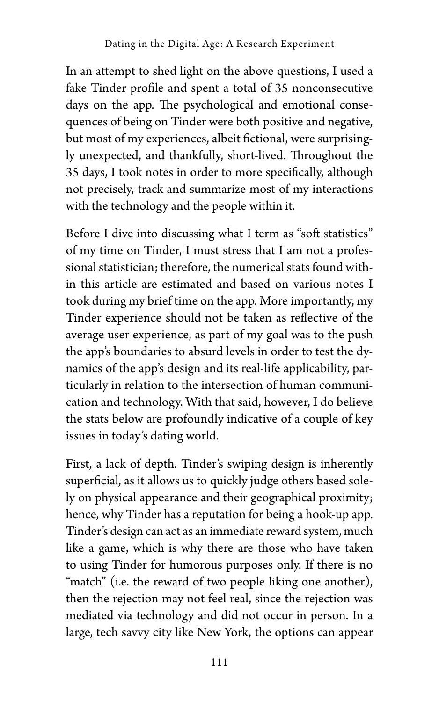In an attempt to shed light on the above questions, I used a fake Tinder profile and spent a total of 35 nonconsecutive days on the app. The psychological and emotional consequences of being on Tinder were both positive and negative, but most of my experiences, albeit fictional, were surprisingly unexpected, and thankfully, short-lived. Throughout the 35 days, I took notes in order to more specifically, although not precisely, track and summarize most of my interactions with the technology and the people within it.

Before I dive into discussing what I term as "soft statistics" of my time on Tinder, I must stress that I am not a professional statistician; therefore, the numerical stats found within this article are estimated and based on various notes I took during my brief time on the app. More importantly, my Tinder experience should not be taken as reflective of the average user experience, as part of my goal was to the push the app's boundaries to absurd levels in order to test the dynamics of the app's design and its real-life applicability, particularly in relation to the intersection of human communication and technology. With that said, however, I do believe the stats below are profoundly indicative of a couple of key issues in today's dating world.

First, a lack of depth. Tinder's swiping design is inherently superficial, as it allows us to quickly judge others based solely on physical appearance and their geographical proximity; hence, why Tinder has a reputation for being a hook-up app. Tinder's design can act as an immediate reward system, much like a game, which is why there are those who have taken to using Tinder for humorous purposes only. If there is no "match" (i.e. the reward of two people liking one another), then the rejection may not feel real, since the rejection was mediated via technology and did not occur in person. In a large, tech savvy city like New York, the options can appear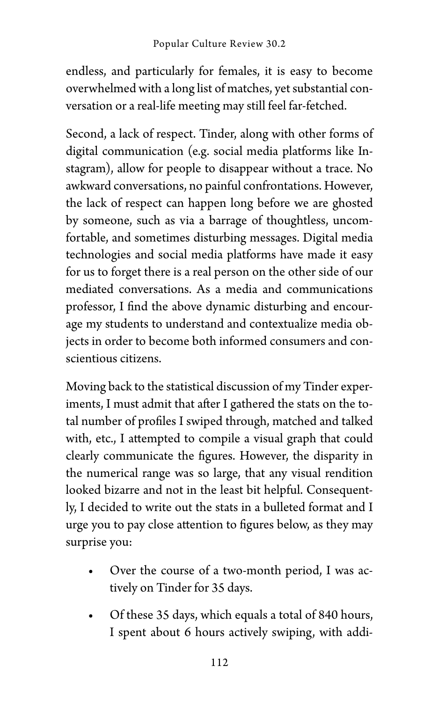endless, and particularly for females, it is easy to become overwhelmed with a long list of matches, yet substantial conversation or a real-life meeting may still feel far-fetched.

Second, a lack of respect. Tinder, along with other forms of digital communication (e.g. social media platforms like Instagram), allow for people to disappear without a trace. No awkward conversations, no painful confrontations. However, the lack of respect can happen long before we are ghosted by someone, such as via a barrage of thoughtless, uncomfortable, and sometimes disturbing messages. Digital media technologies and social media platforms have made it easy for us to forget there is a real person on the other side of our mediated conversations. As a media and communications professor, I find the above dynamic disturbing and encourage my students to understand and contextualize media objects in order to become both informed consumers and conscientious citizens.

Moving back to the statistical discussion of my Tinder experiments, I must admit that after I gathered the stats on the total number of profiles I swiped through, matched and talked with, etc., I attempted to compile a visual graph that could clearly communicate the figures. However, the disparity in the numerical range was so large, that any visual rendition looked bizarre and not in the least bit helpful. Consequently, I decided to write out the stats in a bulleted format and I urge you to pay close attention to figures below, as they may surprise you:

- Over the course of a two-month period, I was actively on Tinder for 35 days.
- Of these 35 days, which equals a total of 840 hours, I spent about 6 hours actively swiping, with addi-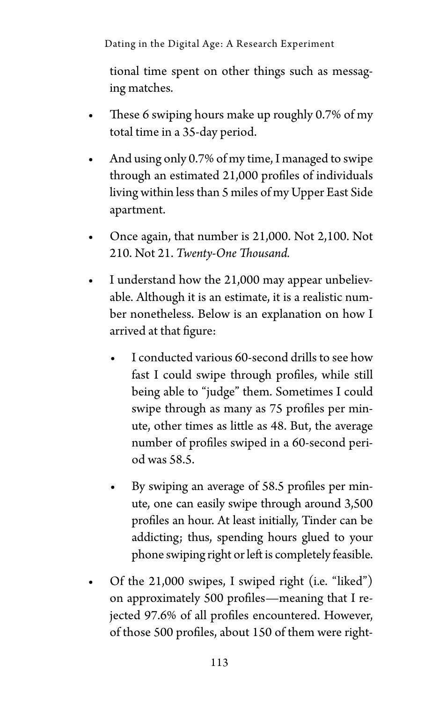Dating in the Digital Age: A Research Experiment

tional time spent on other things such as messaging matches.

- These 6 swiping hours make up roughly 0.7% of my total time in a 35-day period.
- And using only 0.7% of my time, I managed to swipe through an estimated 21,000 profiles of individuals living within less than 5 miles of my Upper East Side apartment.
- Once again, that number is 21,000. Not 2,100. Not 210. Not 21. *Twenty-One Thousand.*
- I understand how the 21,000 may appear unbelievable. Although it is an estimate, it is a realistic number nonetheless. Below is an explanation on how I arrived at that figure:
	- I conducted various 60-second drills to see how fast I could swipe through profiles, while still being able to "judge" them. Sometimes I could swipe through as many as 75 profiles per minute, other times as little as 48. But, the average number of profiles swiped in a 60-second period was 58.5.
	- By swiping an average of 58.5 profiles per minute, one can easily swipe through around 3,500 profiles an hour. At least initially, Tinder can be addicting; thus, spending hours glued to your phone swiping right or left is completely feasible.
- Of the 21,000 swipes, I swiped right (i.e. "liked") on approximately 500 profiles—meaning that I rejected 97.6% of all profiles encountered. However, of those 500 profiles, about 150 of them were right-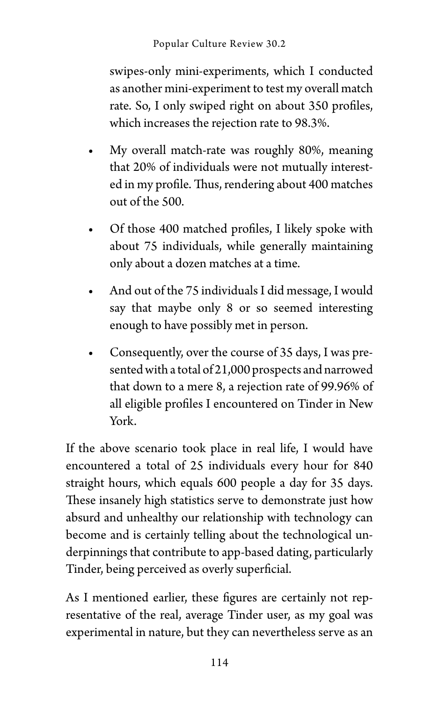swipes-only mini-experiments, which I conducted as another mini-experiment to test my overall match rate. So, I only swiped right on about 350 profiles, which increases the rejection rate to 98.3%.

- My overall match-rate was roughly 80%, meaning that 20% of individuals were not mutually interested in my profile. Thus, rendering about 400 matches out of the 500.
- Of those 400 matched profiles, I likely spoke with about 75 individuals, while generally maintaining only about a dozen matches at a time.
- And out of the 75 individuals I did message, I would say that maybe only 8 or so seemed interesting enough to have possibly met in person.
- Consequently, over the course of 35 days, I was presented with a total of 21,000 prospects and narrowed that down to a mere 8, a rejection rate of 99.96% of all eligible profiles I encountered on Tinder in New York.

If the above scenario took place in real life, I would have encountered a total of 25 individuals every hour for 840 straight hours, which equals 600 people a day for 35 days. These insanely high statistics serve to demonstrate just how absurd and unhealthy our relationship with technology can become and is certainly telling about the technological underpinnings that contribute to app-based dating, particularly Tinder, being perceived as overly superficial.

As I mentioned earlier, these figures are certainly not representative of the real, average Tinder user, as my goal was experimental in nature, but they can nevertheless serve as an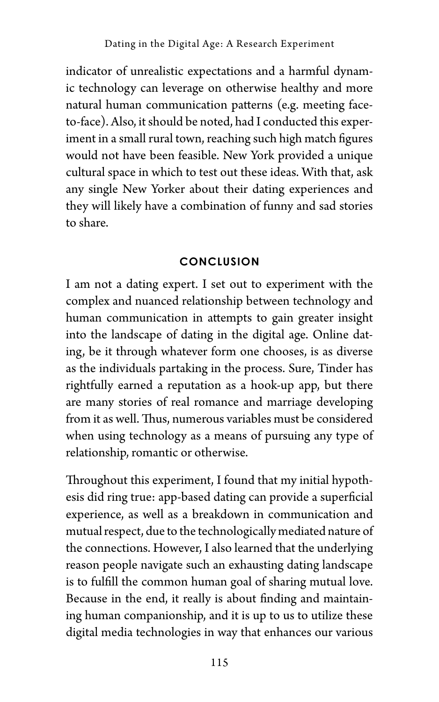indicator of unrealistic expectations and a harmful dynamic technology can leverage on otherwise healthy and more natural human communication patterns (e.g. meeting faceto-face). Also, it should be noted, had I conducted this experiment in a small rural town, reaching such high match figures would not have been feasible. New York provided a unique cultural space in which to test out these ideas. With that, ask any single New Yorker about their dating experiences and they will likely have a combination of funny and sad stories to share.

#### **CONCLUSION**

I am not a dating expert. I set out to experiment with the complex and nuanced relationship between technology and human communication in attempts to gain greater insight into the landscape of dating in the digital age. Online dating, be it through whatever form one chooses, is as diverse as the individuals partaking in the process. Sure, Tinder has rightfully earned a reputation as a hook-up app, but there are many stories of real romance and marriage developing from it as well. Thus, numerous variables must be considered when using technology as a means of pursuing any type of relationship, romantic or otherwise.

Throughout this experiment, I found that my initial hypothesis did ring true: app-based dating can provide a superficial experience, as well as a breakdown in communication and mutual respect, due to the technologically mediated nature of the connections. However, I also learned that the underlying reason people navigate such an exhausting dating landscape is to fulfill the common human goal of sharing mutual love. Because in the end, it really is about finding and maintaining human companionship, and it is up to us to utilize these digital media technologies in way that enhances our various